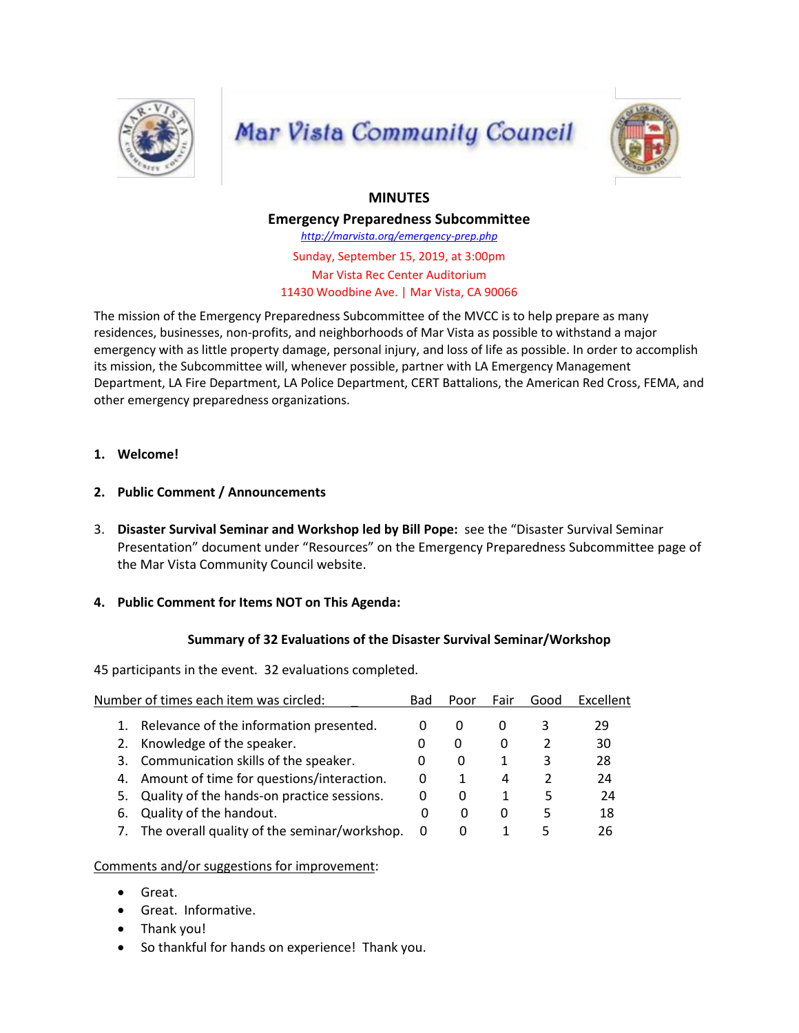![](_page_0_Picture_0.jpeg)

# **Mar Vista Community Council**

![](_page_0_Picture_2.jpeg)

# **MINUTES**

**Emergency Preparedness Subcommittee** *http://marvista.org/emergency-prep.php*

Sunday, September 15, 2019, at 3:00pm Mar Vista Rec Center Auditorium 11430 Woodbine Ave. | Mar Vista, CA 90066

The mission of the Emergency Preparedness Subcommittee of the MVCC is to help prepare as many residences, businesses, non-profits, and neighborhoods of Mar Vista as possible to withstand a major emergency with as little property damage, personal injury, and loss of life as possible. In order to accomplish its mission, the Subcommittee will, whenever possible, partner with LA Emergency Management Department, LA Fire Department, LA Police Department, CERT Battalions, the American Red Cross, FEMA, and other emergency preparedness organizations.

#### **1. Welcome!**

- **2. Public Comment / Announcements**
- 3. **Disaster Survival Seminar and Workshop led by Bill Pope:** see the "Disaster Survival Seminar Presentation" document under "Resources" on the Emergency Preparedness Subcommittee page of the Mar Vista Community Council website.

## **4. Public Comment for Items NOT on This Agenda:**

## **Summary of 32 Evaluations of the Disaster Survival Seminar/Workshop**

45 participants in the event. 32 evaluations completed.

| Number of times each item was circled:          | Bad      | Poor         | Fair         | Good | Excellent |
|-------------------------------------------------|----------|--------------|--------------|------|-----------|
| Relevance of the information presented.         |          | $\Omega$     | $\Omega$     | 3    | 29        |
| Knowledge of the speaker.<br>2.                 |          | $\mathbf{0}$ | O            |      | 30        |
| 3. Communication skills of the speaker.         | O        | $\Omega$     |              |      | 28        |
| Amount of time for questions/interaction.<br>4. | 0        |              | 4            |      | 24        |
| 5. Quality of the hands-on practice sessions.   | $\Omega$ | O            |              | ь    | 24        |
| Quality of the handout.<br>6.                   | O        | $\mathbf{0}$ | $\mathbf{I}$ |      | 18        |
| 7. The overall quality of the seminar/workshop. | 0        | $\Omega$     |              | 5    | 26        |
|                                                 |          |              |              |      |           |

#### Comments and/or suggestions for improvement:

- Great.
- Great. Informative.
- Thank you!
- So thankful for hands on experience! Thank you.